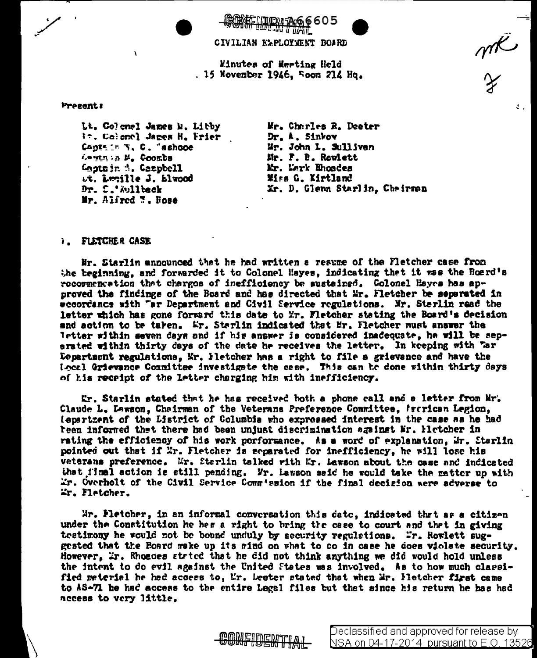605

CIVILIAN ELPLOYMENT BOARD

Minutes of Meeting Held . 15 November 1946. Foom 214 Hq.

Presents

Lt. Colemel James M. Libby 1:. Colonel James H. Frier Capts := Y. C. "ashooe Legin in M. Coombs Lagtejn 4. Campbell Lt. Lucille J. Blwood Dr. S.'Wilback Mr. Alfred W. Rose

Wr. Charles R. Deeter Dr. A. Sinkov Mr. John L. Sulliven Mr. F. B. Rowlett Mr. Mark Rhoades Wirs G. Kirtland Xr. D. Glenn Starlin, Cheirmen

## **1. FLETCHER CASE**

Hr. Starlin announced that he had written a resume of the Fletcher case from the beginning, and forwarded it to Colonel Hayes, indicating that it was the Roard's recormencation that charges of inefficiency be sustained. Colonel Hayes has approved the findings of the Board and has directed that Mr. Hetcher be separated in eccordancs with "ar Department and Civil Service regulations. Mr. Starlin read the letter which has gone forward this date to Mr. Fletcher stating the Board's decision and action to be taken. Er. Starlin indicated that Mr. Fletcher must answer the letter within seven days and if his answer is considered inadequate, he will be sepersted within thirty days of the date he receives the letter. In keeping with "ar Department regulations, Mr. Hetcher has a right to file a grievance and have the Local Grievance Counities investigate the case. This can be done within thirty days of his receipt of the letter charging him with inefficiency.

Er. Starlin stated that he has received both a phone call and a letter from Mr. Claude L. Lawson, Chairman of the Veterans Preference Committee. Incrican Legion. lepartzent of the Listrict of Columbia who expressed interest in the case as he had teen informed that there had been unjust discrimination against Mr. Hietcher in rating the efficiency of his work performance. As a word of explanation, Mr. Starlin pointed out that if Xr. Fletcher is separated for inefficiency, he will lose his veterans preference. Mr. Sterlin talked with Mr. Lawson about the case and indicated that final action is still pending. Yr. Lamson said he would take the matter up with Er. Overholt of the Civil Service Comm'ssion if the final decision were adverse to Wr. Fletcher.

Wr. Fletcher, in an informal conversation this date, indicated that as a citizen under the Constitution he hes a right to bring the case to court and that in giving testimony he would not be bound unduly by security regulations. Wr. Rowlett suggested that the Board make up its mind on what to co in case he does violate security. However, Ir. Rhoeces stried that he did not think anything we did would hold unless the intent to do evil against the United States was involved. As to how much classified meterial he hed access to, Mr. Deeter stated that when Mr. Hetcher first came to AS-71 he had access to the entire Legel files but that since his return he has had nccess to very little.



 $\frac{1}{\sqrt{2}}$ 

Δ.,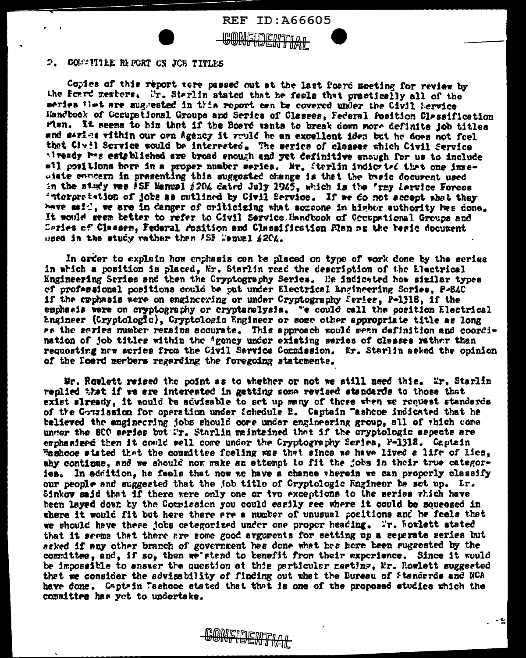

COSTITLE REPORT ON JOB TITLES  $2.$ 

Copies of this report zere passed out at the last foard meeting for review by the Foard members. Mr. Starlin stated that he feels that practically all of the series that are suggested in this report can be covered under the Civil Service Handbook of Geoupational Groups and Series of Classes, Federal Position Classification Fian. It seems to him that if the Board wants to break down more definite job titles and series within our own Agency it would be an excellent iden but he does not feel that Civil Scrvice would be interested. The series of classes which Civil Service alveady hes established are broad enough and yet definitive enough for us to include all positions here in a proper number series. Mr. Sterlin indictied that one immewiste enneern in presenting this suggested change is that the theic docurent used in the study was ASF Manual #204 dated July 1945, which is the 'rey iervice Forces 'nterpretation of jobs as outlined by Civil Service. If we do not accent what they have said, we are in danger of criticizing what sozeone in higher authority has done. It would geem better to refer to Civil Service. Handbook of Gooupational Groups and Caries of Classen, Federal rosition and Classification Flan na the basic document used in the study rather then ASE Menual #204.

**REF ID:A66605** 

**MAMEDEMTMAN** <u>דואור ו מובושל ומושט</u>

In order to explain how enphasis can be placed on type of vork done by the series in which a position is placed, Mr. Starlin read the description of the Electrical Engineering Series and then the Cryptography Series. He indicated how similar types of professional positions could be put under Electrical Engineering Series, P-84C if the emphasis were on engineering or under Cryptography Series, Polj18, if the emphasis were on cryptography or cryptanslysis. "e could call the occition Electrical Engineer (Cryptologic), Cryptologic Engineer or some other appropriate title as long Pa the series number rerains accurate. This approach would sean definition and coordination of job titles within the "gency under existing series of classes rather than requesting new series from the Civil Service Commission. Kr. Starlin asked the opinion of the foard merbers regarding the foregoing statements.

Wr. Rowlett reised the point as to whether or not we still need this. Mr. Starlin replied that if we are interested in getting some revised standards to those that exist slready, it mould be advisable to set up many of these when we request standards of the Courission for operation under Schedule B. Captain "asheoe indicated that he believed the enginecring jobs should core under engineering group, all of thich come under the SCO series but ir. Starlin maintained that if the cryptologic aspects are emphasized then it could well come under the Cryptography Series, P-1318. Captain Tashooe sisted that the committee foeling was that since we have lived a life of lies, why continue, and we should now wake an attempt to fit the jobs in their true categories. In addition, he feels that now we have a chance vherein we can properly classify our people and suggested that the job title of Cryptologic Engineer be set up. Lr. Sinkov said that if there were only one or tvo exceptions to the series  $\tau$ hich have been layed down by the Commission you could easily see where it could be soueezed in where it would fit but here there are a number of unusual positions and he feels that we should have these jobs categorized under one proper heading. Ir. howlett stated that it seems that there are some good arguments for setting up a separate series but asked if any other branch of government has done what has here been suggested by the committee, and, if so, then we stand to benefit from their experience. Since it would be impossible to answer the question at this perticular meeting, Er. Rowlett suggested that we consider the advisability of finding out what the Buresu of Standards and NCA have done. Captain Tashooe stated that that is one of the proposed studies which the committee has yet to undertake.

CONFIDENTIAL

- 51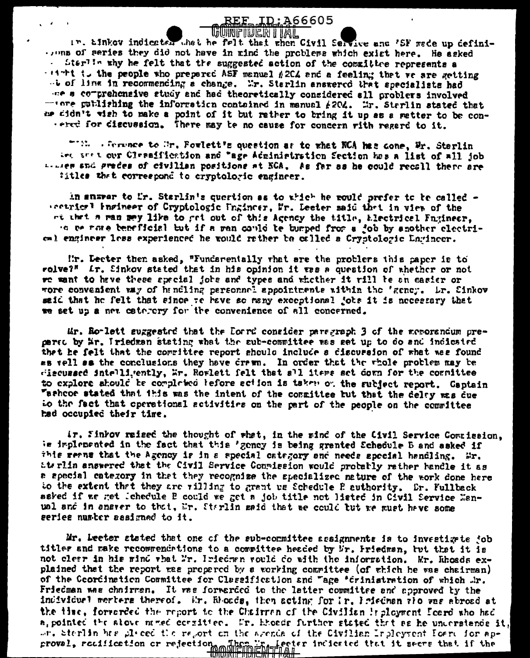## <u>REF ID:</u>A66605 **WUNFILLEM I IAIL**

 $\mathcal{L}^{\mathcal{A}}$ 

in. Einkey indicated that he felt that when Civil Service and 'SF wade up defini-..... of series they did not have in mind the problems which exist here. He asked . Sterlin why he felt that the suggested action of the committee represents a with to the people who prepared ASF manuel #204 and a feeling that we are getting - b of line in recommencing a change. Mr. Starlin answered that apecialists had or a comprehensive study and had theoretically considered all problers involved -term cutlishing the information contained in manual  $f204$ . Mr. Starlin stated that us didn't wish to make a point of it but rather to bring it up as a matter to be conrered for discussion. There may be no cause for concern rith regerd to it.

""We a ference to Mr. Fowlett's question as to what NCA has cone, Mr. Starlin Let are t our Clessification and "age Administion Section has a list of all job In the spile wedes of civilian positions at NCA. As far as he could recall there are titles that correspond to cryptoloric engineer.

in answer to Ur. Starlin's quertion as to which he mould prefer to be called securiorl ingineer of Cryptologic Ungineer, Mr. Leeter said that in view of the ot that a man may like to got out of this Agency the title, Electrical Fngineer, 'a me rate beneficial but if a wan could be bumped from a job by another clectrioml engineer less experienced he would rather be called a Cryptologic Lagincer.

Mr. Lecter then asked, "Fundarentally that are the problers this paper is to rolve?" Ir. Sinkov steted that in his opinion it was a question of whether or not we want to have these special jobs and types and whether it rill be an easier or wore convenient way of handling personnel appointments within the 'geney. Lr. Sinkov said that he felt that since to have so many exceptional jobs it is necessary that we set up a new category for the convenience of all concerned.

Mr. Ro-lett suggested that the Dorrd consider paragraph 3 of the memorandum pregered by Mr. Iriedman stating what the sub-committee was get up to do and indicated that he felt that the committee report should include a discussion of what was found as vell sa the conclusions they have drawn. In order that the rhole problem may be wiscursed intelligently, Mr. Rowlett felt that all items set down for the committee to explore should be completed before action is taken or the subject report. Captain "athcoe stated that this was the intent of the conmittee but that the delay was due to the fact that operational activities on the part of the people on the committee had occupied their time.

ir. Sinkov raised the thought of what, in the sind of the Civil Service Commission. is implemented in the fact that this 'gency is being granted Schedule B and asked if this reans that the Agency is in a special category and needs apocial handling. Wr. atrulin answered that the Civil Service Commission would probably rather handle it as a apecial category in that they recognize the specialized nature of the work done hare to the extent that they are villing to grant us Schedule P authority. Dr. Fullback asked if we get lehedule B could we get a job title not listed in Civil Service Manual and in anarer to that, Mr. Starlin said that we could but we wust have some series number sesigned to it.

Mr. Leeter stated that one of the sub-committee assignments is to investigate job titler and make recommendations to a committee headed by Mr. Friedman, but that it is not clear in his mind what Mr. Iniedman would do with the information. Mr. Rhoads explained that the report was propered by a working committee (of which he was chairman) of the Coordination Committee for Classification and "age 'crinistration of which .hr. Friedman was chairmen. It was forwarded to the latter committee and approved by the individual merters thereof. Ur. Rhonds, then acting for Ir. Inisdnam alo was abroad at the time, forwarded the report to the Chairman of the Civilian inployment Foard who had a pointed the stove named consities. When theode further stated that as he understands it, on, Sterlin has placed the report on the spends of the Civilian Inpleyment Foard for approvel, rediication or rejection. Them in lecter indicated that it secre that if the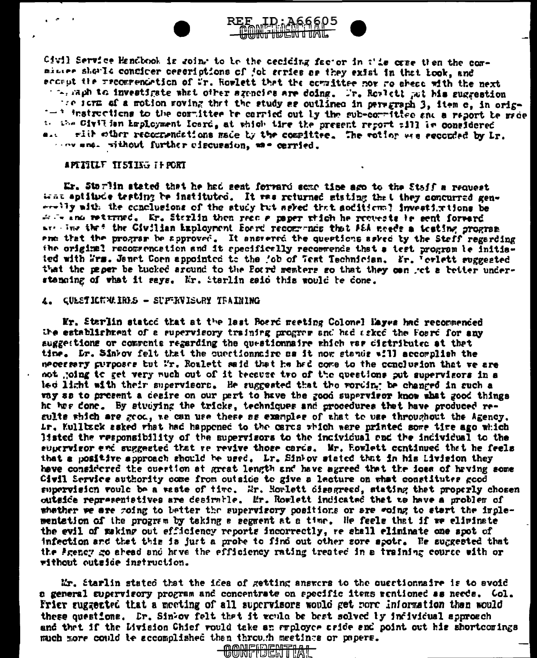

Civil Service Handbook is soint to be the ceciding factor in this case then the comminume showle confirer cessriptions of job series as they exist in that book, and eccrut the recommendation of Wr. Rowlett that the committee now wo abead with the next the saph to investigate what other szencics are doing. Tr. Rowlett sut his suggestion the form of a motion woving that the study as outlined in peregraph 3, item c, in orig--\* instructions to the committee be carried out by the sub-committee and a report be made to the Civilian Employment Icard, at which time the present report fill in considered and with other recompendations made by the compittee. The ention was seconded by Lr. one and without further eiscussion, as e carried.

REE ID: A66605 <del>uning tubent time</del>

## APETILLE II 51 ISS IF PORT

Er. Storlin stated that he had sent forward some time ago to the Staff a request trat aptitude testing be instituted. It was returned stating that they concurred genwratly mith the conclusions of the study but seked that acditions? investinations be  $\div$   $\div$  and returned. Er. Starlin then redo  $\bm{r}$  paper wilch he requests is sent forward. are line that the Civilian Exployment Forrd recommends that A&A meeds a testing program ent that the program be approved. It anstered the questions asked by the Staff regarding the original recommencation and it specifically recommends that a test program be initiated with Frs. Jenet Coen appointed to the job of Test Technician. Fr. Terlett suggested that the paper be bucked around to the Forrd members so that they can jet a better understanding of what it says. Mr. iterlin said this would be done.

## 4. QUESTICKNAINES - SUPERVISORY TRAINING

Mr. Starlin stated that at the last Board meeting Colonel Hayes had recommended the establishment of a supervisory training program and had asked the foard for any suggestions or compenie regarding the questionnaire which var distributed at that time. Lr. Sinkov felt that the cuestionnaire as it now stands will accomplish the mecernary purposes but I'r. Roulett said that he had come to the conclusion that we are not joing to get very much out of it because tro of the questions put supervisors in a led light with their supervisors. He suggested that the vording be changed in such a vay ss to present a desire on our part to have the good supervisor know what good things he has done. By studying the tricks, techniques and grocedures that have produced resulte which are grod, we can use these as examples of that to use throughout the Agency. Lr. Kullback asked that had happened to the cards which were printed some time ago which listed the responsibility of the supervisors to the incividual and the individual to the eupervisor end suggested that we revive those cards. Mr. Rowlett continued that he feels that a positive approach should be used. Lr. Sinkov stated that in his Livision they have considered the overtion at great length and have agreed that the idea of having some Civil Service authority come from outside to give a lecture on what constitutes good supervision vould be a waste of time. Mr. Howlett disagreed, stating that properly chosen outside representatives are desimble. Mr. Rowlett indicated that to have a problem of whether we are going to better the supervisory positions or are going to start the implementation of the program by taking a segment at a time. He feels that if we eliminate the evil of making out efficiency reports incorrectly, re shall eliminate one spot of infection and that this is just a probe to find out other sore spotr. He suggested that the Prency go abead and have the efficiency rating treated in a training course with or rithout outside instruction.

Mr. Starlin stated that the idea of getting answers to the questionnaire is to avoid a general supervisory program and concentrate on specific items rentioned as needs. Col. Frier suggested that a meeting of all supervisors would get nore information than would these questions. Er. Sinkov felt that it would be best solved by infividual sporcech and that if the Livision Chief rould take an arployee cride and point out his shortcorings much more could te accomplished than through meetings or papers.